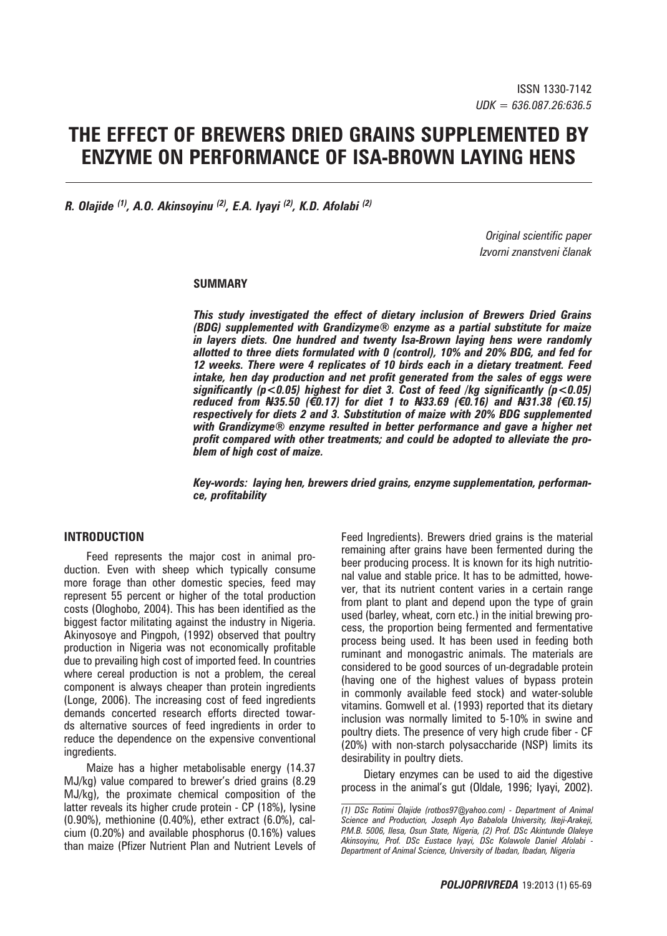# **THE EFFECT OF BREWERS DRIED GRAINS SUPPLEMENTED BY ENZYME ON PERFORMANCE OF ISA-BROWN LAYING HENS**

*R. Olajide (1), A.O. Akinsoyinu (2), E.A. Iyayi (2), K.D. Afolabi (2)*

*Original scientific paper Izvorni znanstveni članak*

#### **SUMMARY**

*This study investigated the effect of dietary inclusion of Brewers Dried Grains (BDG) supplemented with Grandizyme® enzyme as a partial substitute for maize in layers diets. One hundred and twenty Isa-Brown laying hens were randomly allotted to three diets formulated with 0 (control), 10% and 20% BDG, and fed for 12 weeks. There were 4 replicates of 10 birds each in a dietary treatment. Feed intake, hen day production and net profit generated from the sales of eggs were significantly (p<0.05) highest for diet 3. Cost of feed /kg significantly (p<0.05) reduced from N35.50 (€0.17) for diet 1 to N33.69 (€0.16) and N31.38 (€0.15) respectively for diets 2 and 3. Substitution of maize with 20% BDG supplemented with Grandizyme® enzyme resulted in better performance and gave a higher net profit compared with other treatments; and could be adopted to alleviate the problem of high cost of maize.*

#### *Key-words: laying hen, brewers dried grains, enzyme supplementation, performance, profitability*

#### **INTRODUCTION**

Feed represents the major cost in animal production. Even with sheep which typically consume more forage than other domestic species, feed may represent 55 percent or higher of the total production costs (Ologhobo, 2004). This has been identified as the biggest factor militating against the industry in Nigeria. Akinyosoye and Pingpoh, (1992) observed that poultry production in Nigeria was not economically profitable due to prevailing high cost of imported feed. In countries where cereal production is not a problem, the cereal component is always cheaper than protein ingredients (Longe, 2006). The increasing cost of feed ingredients demands concerted research efforts directed towards alternative sources of feed ingredients in order to reduce the dependence on the expensive conventional ingredients.

Maize has a higher metabolisable energy (14.37 MJ/kg) value compared to brewer's dried grains (8.29 MJ/kg), the proximate chemical composition of the latter reveals its higher crude protein - CP (18%), lysine (0.90%), methionine (0.40%), ether extract (6.0%), calcium (0.20%) and available phosphorus (0.16%) values than maize (Pfizer Nutrient Plan and Nutrient Levels of

Feed Ingredients). Brewers dried grains is the material remaining after grains have been fermented during the beer producing process. It is known for its high nutritional value and stable price. It has to be admitted, however, that its nutrient content varies in a certain range from plant to plant and depend upon the type of grain used (barley, wheat, corn etc.) in the initial brewing process, the proportion being fermented and fermentative process being used. It has been used in feeding both ruminant and monogastric animals. The materials are considered to be good sources of un-degradable protein (having one of the highest values of bypass protein in commonly available feed stock) and water-soluble vitamins. Gomwell et al. (1993) reported that its dietary inclusion was normally limited to 5-10% in swine and poultry diets. The presence of very high crude fiber - CF (20%) with non-starch polysaccharide (NSP) limits its desirability in poultry diets.

Dietary enzymes can be used to aid the digestive process in the animal's gut (Oldale, 1996; Iyayi, 2002).

*<sup>(1)</sup> DSc Rotimi Olajide (rotbos97*@*yahoo.com) - Department of Animal Science and Production, Joseph Ayo Babalola University, Ikeji-Arakeji, P.M.B. 5006, Ilesa, Osun State, Nigeria, (2) Prof. DSc Akintunde Olaleye Akinsoyinu, Prof. DSc Eustace Iyayi, DSc Kolawole Daniel Afolabi - Department of Animal Science, University of Ibadan, Ibadan, Nigeria*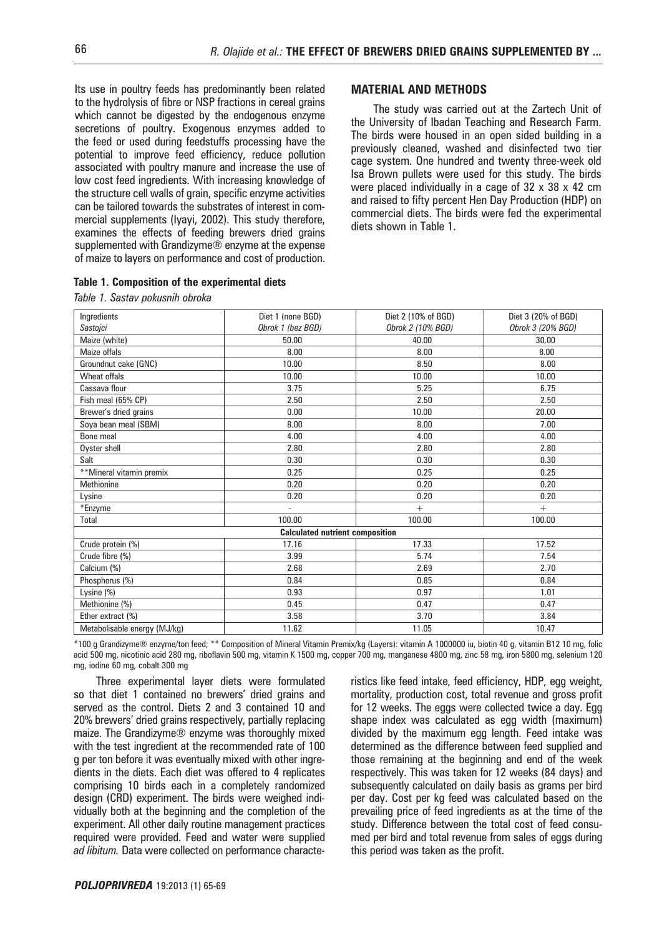Its use in poultry feeds has predominantly been related to the hydrolysis of fibre or NSP fractions in cereal grains which cannot be digested by the endogenous enzyme secretions of poultry. Exogenous enzymes added to the feed or used during feedstuffs processing have the potential to improve feed efficiency, reduce pollution associated with poultry manure and increase the use of low cost feed ingredients. With increasing knowledge of the structure cell walls of grain, specific enzyme activities can be tailored towards the substrates of interest in commercial supplements (Iyayi, 2002). This study therefore, examines the effects of feeding brewers dried grains supplemented with Grandizyme<sup>®</sup> enzyme at the expense of maize to layers on performance and cost of production.

|  |  |  |  | Table 1. Composition of the experimental diets |  |
|--|--|--|--|------------------------------------------------|--|
|--|--|--|--|------------------------------------------------|--|

*Table 1. Sastav pokusnih obroka*

#### **MATERIAL AND METHODS**

The study was carried out at the Zartech Unit of the University of Ibadan Teaching and Research Farm. The birds were housed in an open sided building in a previously cleaned, washed and disinfected two tier cage system. One hundred and twenty three-week old Isa Brown pullets were used for this study. The birds were placed individually in a cage of 32 x 38 x 42 cm and raised to fifty percent Hen Day Production (HDP) on commercial diets. The birds were fed the experimental diets shown in Table 1.

| Ingredients                  | Diet 1 (none BGD)                      | Diet 2 (10% of BGD) | Diet 3 (20% of BGD) |
|------------------------------|----------------------------------------|---------------------|---------------------|
| Sastojci                     | Obrok 1 (bez BGD)                      | Obrok 2 (10% BGD)   | Obrok 3 (20% BGD)   |
| Maize (white)                | 50.00                                  | 40.00               | 30.00               |
| Maize offals                 | 8.00                                   | 8.00                | 8.00                |
| Groundnut cake (GNC)         | 10.00                                  | 8.50                | 8.00                |
| Wheat offals                 | 10.00                                  | 10.00               | 10.00               |
| Cassava flour                | 3.75                                   | 5.25                | 6.75                |
| Fish meal (65% CP)           | 2.50                                   | 2.50                | 2.50                |
| Brewer's dried grains        | 0.00                                   | 10.00               | 20.00               |
| Soya bean meal (SBM)         | 8.00                                   | 8.00                | 7.00                |
| Bone meal                    | 4.00                                   | 4.00                | 4.00                |
| Oyster shell                 | 2.80                                   | 2.80                | 2.80                |
| Salt                         | 0.30                                   | 0.30                | 0.30                |
| **Mineral vitamin premix     | 0.25                                   | 0.25                | 0.25                |
| <b>Methionine</b>            | 0.20                                   | 0.20                | 0.20                |
| Lysine                       | 0.20                                   | 0.20                | 0.20                |
| *Enzyme                      |                                        | $+$                 | $^{+}$              |
| Total                        | 100.00                                 | 100.00              | 100.00              |
|                              | <b>Calculated nutrient composition</b> |                     |                     |
| Crude protein (%)            | 17.16                                  | 17.33               | 17.52               |
| Crude fibre (%)              | 3.99                                   | 5.74                | 7.54                |
| Calcium (%)                  | 2.68                                   | 2.69                | 2.70                |
| Phosphorus (%)               | 0.84                                   | 0.85                | 0.84                |
| Lysine (%)                   | 0.93                                   | 0.97                | 1.01                |
| Methionine (%)               | 0.45                                   | 0.47                | 0.47                |
| Ether extract (%)            | 3.58                                   | 3.70                | 3.84                |
| Metabolisable energy (MJ/kg) | 11.62                                  | 11.05               | 10.47               |

\*100 g Grandizyme® enzyme/ton feed; \*\* Composition of Mineral Vitamin Premix/kg (Layers): vitamin A 1000000 iu, biotin 40 g, vitamin B12 10 mg, folic acid 500 mg, nicotinic acid 280 mg, riboflavin 500 mg, vitamin K 1500 mg, copper 700 mg, manganese 4800 mg, zinc 58 mg, iron 5800 mg, selenium 120 mg, iodine 60 mg, cobalt 300 mg

Three experimental layer diets were formulated so that diet 1 contained no brewers' dried grains and served as the control. Diets 2 and 3 contained 10 and 20% brewers' dried grains respectively, partially replacing maize. The Grandizyme® enzyme was thoroughly mixed with the test ingredient at the recommended rate of 100 g per ton before it was eventually mixed with other ingredients in the diets. Each diet was offered to 4 replicates comprising 10 birds each in a completely randomized design (CRD) experiment. The birds were weighed individually both at the beginning and the completion of the experiment. All other daily routine management practices required were provided. Feed and water were supplied *ad libitum.* Data were collected on performance characteristics like feed intake, feed efficiency, HDP, egg weight, mortality, production cost, total revenue and gross profit for 12 weeks. The eggs were collected twice a day. Egg shape index was calculated as egg width (maximum) divided by the maximum egg length. Feed intake was determined as the difference between feed supplied and those remaining at the beginning and end of the week respectively. This was taken for 12 weeks (84 days) and subsequently calculated on daily basis as grams per bird per day. Cost per kg feed was calculated based on the prevailing price of feed ingredients as at the time of the study. Difference between the total cost of feed consumed per bird and total revenue from sales of eggs during this period was taken as the profit.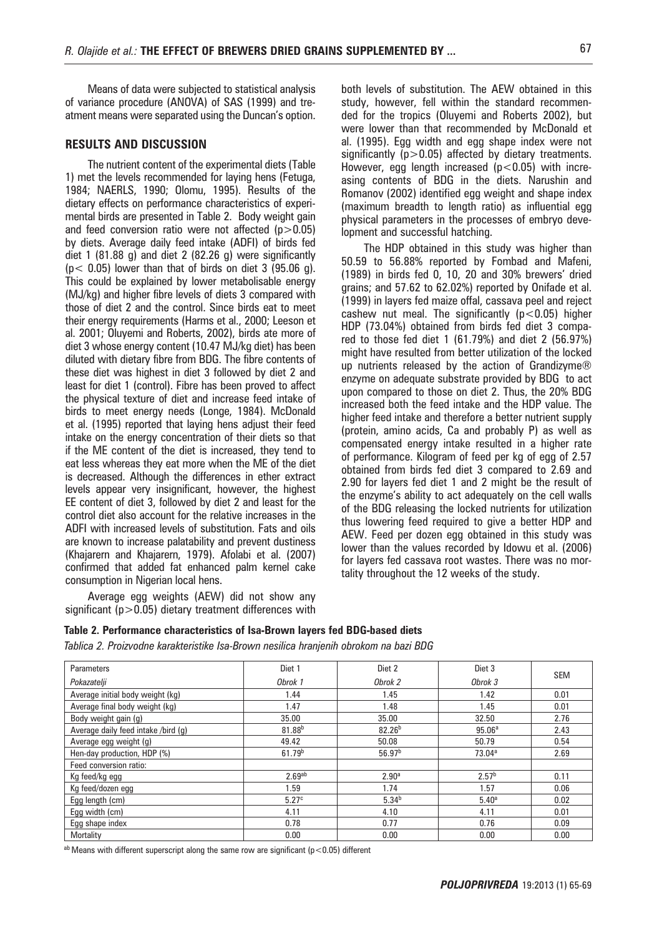Means of data were subjected to statistical analysis of variance procedure (ANOVA) of SAS (1999) and treatment means were separated using the Duncan's option.

#### **RESULTS AND DISCUSSION**

The nutrient content of the experimental diets (Table 1) met the levels recommended for laying hens (Fetuga, 1984; NAERLS, 1990; Olomu, 1995). Results of the dietary effects on performance characteristics of experimental birds are presented in Table 2. Body weight gain and feed conversion ratio were not affected  $(p>0.05)$ by diets. Average daily feed intake (ADFI) of birds fed diet 1 (81.88 g) and diet 2 (82.26 g) were significantly  $(p < 0.05)$  lower than that of birds on diet 3 (95.06 g). This could be explained by lower metabolisable energy (MJ/kg) and higher fibre levels of diets 3 compared with those of diet 2 and the control. Since birds eat to meet their energy requirements (Harms et al., 2000; Leeson et al. 2001; Oluyemi and Roberts, 2002), birds ate more of diet 3 whose energy content (10.47 MJ/kg diet) has been diluted with dietary fibre from BDG. The fibre contents of these diet was highest in diet 3 followed by diet 2 and least for diet 1 (control). Fibre has been proved to affect the physical texture of diet and increase feed intake of birds to meet energy needs (Longe, 1984). McDonald et al. (1995) reported that laying hens adjust their feed intake on the energy concentration of their diets so that if the ME content of the diet is increased, they tend to eat less whereas they eat more when the ME of the diet is decreased. Although the differences in ether extract levels appear very insignificant, however, the highest EE content of diet 3, followed by diet 2 and least for the control diet also account for the relative increases in the ADFI with increased levels of substitution. Fats and oils are known to increase palatability and prevent dustiness (Khajarern and Khajarern, 1979). Afolabi et al. (2007) confirmed that added fat enhanced palm kernel cake consumption in Nigerian local hens.

Average egg weights (AEW) did not show any significant ( $p > 0.05$ ) dietary treatment differences with

both levels of substitution. The AEW obtained in this study, however, fell within the standard recommended for the tropics (Oluyemi and Roberts 2002), but were lower than that recommended by McDonald et al. (1995). Egg width and egg shape index were not significantly  $(p>0.05)$  affected by dietary treatments. However, egg length increased ( $p$ <0.05) with increasing contents of BDG in the diets. Narushin and Romanov (2002) identified egg weight and shape index (maximum breadth to length ratio) as influential egg physical parameters in the processes of embryo development and successful hatching.

The HDP obtained in this study was higher than 50.59 to 56.88% reported by Fombad and Mafeni, (1989) in birds fed 0, 10, 20 and 30% brewers' dried grains; and 57.62 to 62.02%) reported by Onifade et al. (1999) in layers fed maize offal, cassava peel and reject cashew nut meal. The significantly ( $p$ <0.05) higher HDP (73.04%) obtained from birds fed diet 3 compared to those fed diet 1 (61.79%) and diet 2 (56.97%) might have resulted from better utilization of the locked up nutrients released by the action of Grandizyme® enzyme on adequate substrate provided by BDG to act upon compared to those on diet 2. Thus, the 20% BDG increased both the feed intake and the HDP value. The higher feed intake and therefore a better nutrient supply (protein, amino acids, Ca and probably P) as well as compensated energy intake resulted in a higher rate of performance. Kilogram of feed per kg of egg of 2.57 obtained from birds fed diet 3 compared to 2.69 and 2.90 for layers fed diet 1 and 2 might be the result of the enzyme's ability to act adequately on the cell walls of the BDG releasing the locked nutrients for utilization thus lowering feed required to give a better HDP and AEW. Feed per dozen egg obtained in this study was lower than the values recorded by Idowu et al. (2006) for layers fed cassava root wastes. There was no mortality throughout the 12 weeks of the study.

#### **Table 2. Performance characteristics of Isa-Brown layers fed BDG-based diets**

*Tablica 2. Proizvodne karakteristike Isa-Brown nesilica hranjenih obrokom na bazi BDG* 

| Parameters                          | Diet 1             | Diet 2             | Diet 3             | <b>SEM</b> |
|-------------------------------------|--------------------|--------------------|--------------------|------------|
| Pokazatelji                         | Obrok 1            | Obrok 2            | Obrok 3            |            |
| Average initial body weight (kg)    | 1.44               | 1.45               | 1.42               | 0.01       |
| Average final body weight (kg)      | 1.47               | 1.48               | 1.45               | 0.01       |
| Body weight gain (g)                | 35.00              | 35.00              | 32.50              | 2.76       |
| Average daily feed intake /bird (g) | 81.88 <sup>b</sup> | $82.26^{b}$        | 95.06 <sup>a</sup> | 2.43       |
| Average egg weight (g)              | 49.42              | 50.08              | 50.79              | 0.54       |
| Hen-day production, HDP (%)         | 61.79 <sup>b</sup> | 56.97 <sup>b</sup> | 73.04 <sup>a</sup> | 2.69       |
| Feed conversion ratio:              |                    |                    |                    |            |
| Kg feed/kg egg                      | 2.69 <sup>ab</sup> | 2.90 <sup>a</sup>  | 2.57 <sup>b</sup>  | 0.11       |
| Kg feed/dozen egg                   | 1.59               | 1.74               | 1.57               | 0.06       |
| Egg length (cm)                     | 5.27c              | 5.34 <sup>b</sup>  | 5.40 <sup>a</sup>  | 0.02       |
| Egg width (cm)                      | 4.11               | 4.10               | 4.11               | 0.01       |
| Egg shape index                     | 0.78               | 0.77               | 0.76               | 0.09       |
| Mortality                           | 0.00               | 0.00               | 0.00               | 0.00       |

 $a<sup>b</sup>$  Means with different superscript along the same row are significant (p<0.05) different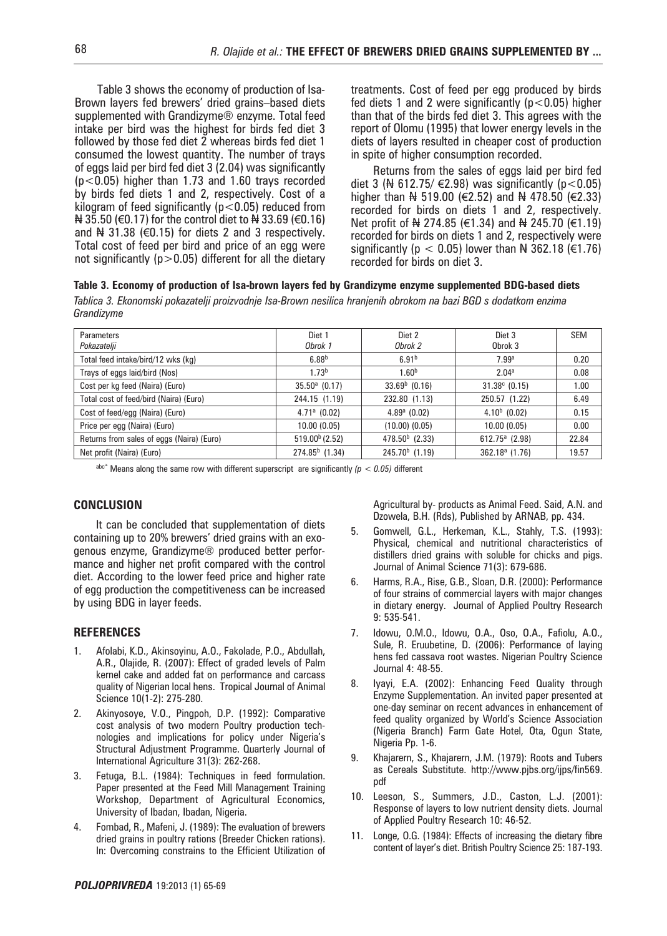Table 3 shows the economy of production of Isa-Brown layers fed brewers' dried grains–based diets supplemented with Grandizyme® enzyme. Total feed intake per bird was the highest for birds fed diet 3 followed by those fed diet 2 whereas birds fed diet 1 consumed the lowest quantity. The number of trays of eggs laid per bird fed diet 3 (2.04) was significantly (p<0.05) higher than 1.73 and 1.60 trays recorded by birds fed diets 1 and 2, respectively. Cost of a kilogram of feed significantly ( $p$ <0.05) reduced from  $\# 35.50$  (€0.17) for the control diet to  $\# 33.69$  (€0.16) and  $\frac{1}{2}$  31.38 ( $\in$ 0.15) for diets 2 and 3 respectively. Total cost of feed per bird and price of an egg were not significantly ( $p > 0.05$ ) different for all the dietary treatments. Cost of feed per egg produced by birds fed diets 1 and 2 were significantly ( $p < 0.05$ ) higher than that of the birds fed diet 3. This agrees with the report of Olomu (1995) that lower energy levels in the diets of layers resulted in cheaper cost of production in spite of higher consumption recorded.

Returns from the sales of eggs laid per bird fed diet 3 (₦ 612.75/  $∈$ 2.98) was significantly (p < 0.05) higher than  $\frac{1}{2}$  519.00 (€2.52) and  $\frac{1}{2}$  478.50 (€2.33) recorded for birds on diets 1 and 2, respectively. Net profit of N 274.85 (€1.34) and N 245.70 (€1.19) recorded for birds on diets 1 and 2, respectively were significantly ( $p < 0.05$ ) lower than N 362.18 ( $\in$ 1.76) recorded for birds on diet 3.

#### **Table 3. Economy of production of Isa-brown layers fed by Grandizyme enzyme supplemented BDG-based diets**

*Tablica 3. Ekonomski pokazatelji proizvodnje Isa-Brown nesilica hranjenih obrokom na bazi BGD s dodatkom enzima Grandizyme*

| Parameters                                | Diet 1                 | Diet 2             | Diet 3                 | <b>SEM</b> |
|-------------------------------------------|------------------------|--------------------|------------------------|------------|
| Pokazatelji                               | Obrok 1                | Obrok 2            | Obrok 3                |            |
| Total feed intake/bird/12 wks (kg)        | 6.88 <sup>b</sup>      | 6.91 <sup>b</sup>  | 7.99a                  | 0.20       |
| Trays of eggs laid/bird (Nos)             | 1.73 <sup>b</sup>      | 1.60 <sup>b</sup>  | 2.04 <sup>a</sup>      | 0.08       |
| Cost per kg feed (Naira) (Euro)           | $35.50^{\circ}$ (0.17) | $33.69b$ (0.16)    | $31.38^{\circ}$ (0.15) | 1.00       |
| Total cost of feed/bird (Naira) (Euro)    | 244.15 (1.19)          | 232.80 (1.13)      | 250.57 (1.22)          | 6.49       |
| Cost of feed/egg (Naira) (Euro)           | $4.71a$ (0.02)         | $4.89a$ (0.02)     | $4.10b$ (0.02)         | 0.15       |
| Price per egg (Naira) (Euro)              | 10.00(0.05)            | $(10.00)$ $(0.05)$ | 10.00(0.05)            | 0.00       |
| Returns from sales of eggs (Naira) (Euro) | $519.00b$ (2.52)       | $478.50b$ (2.33)   | $612.75^a$ (2.98)      | 22.84      |
| Net profit (Naira) (Euro)                 | $274.85b$ (1.34)       | $245.70b$ (1.19)   | $362.18a$ (1.76)       | 19.57      |

 $a^{abc}$ <sup>\*</sup> Means along the same row with different superscript are significantly ( $p < 0.05$ ) different

#### **CONCLUSION**

It can be concluded that supplementation of diets containing up to 20% brewers' dried grains with an exogenous enzyme, Grandizyme® produced better performance and higher net profit compared with the control diet. According to the lower feed price and higher rate of egg production the competitiveness can be increased by using BDG in layer feeds.

#### **REFERENCES**

- 1. Afolabi, K.D., Akinsoyinu, A.O., Fakolade, P.O., Abdullah, A.R., Olajide, R. (2007): Effect of graded levels of Palm kernel cake and added fat on performance and carcass quality of Nigerian local hens. Tropical Journal of Animal Science 10(1-2): 275-280.
- 2. Akinyosoye, V.O., Pingpoh, D.P. (1992): Comparative cost analysis of two modern Poultry production technologies and implications for policy under Nigeria's Structural Adjustment Programme. Quarterly Journal of International Agriculture 31(3): 262-268.
- 3. Fetuga, B.L. (1984): Techniques in feed formulation. Paper presented at the Feed Mill Management Training Workshop, Department of Agricultural Economics, University of Ibadan, Ibadan, Nigeria.
- 4. Fombad, R., Mafeni, J. (1989): The evaluation of brewers dried grains in poultry rations (Breeder Chicken rations). In: Overcoming constrains to the Efficient Utilization of

Agricultural by- products as Animal Feed. Said, A.N. and Dzowela, B.H. (Rds), Published by ARNAB, pp. 434.

- 5. Gomwell, G.L., Herkeman, K.L., Stahly, T.S. (1993): Physical, chemical and nutritional characteristics of distillers dried grains with soluble for chicks and pigs. Journal of Animal Science 71(3): 679-686.
- 6. Harms, R.A., Rise, G.B., Sloan, D.R. (2000): Performance of four strains of commercial layers with major changes in dietary energy. Journal of Applied Poultry Research 9: 535-541.
- 7. Idowu, O.M.O., Idowu, O.A., Oso, O.A., Fafiolu, A.O., Sule, R. Eruubetine, D. (2006): Performance of laying hens fed cassava root wastes. Nigerian Poultry Science Journal 4: 48-55.
- 8. Iyayi, E.A. (2002): Enhancing Feed Quality through Enzyme Supplementation. An invited paper presented at one-day seminar on recent advances in enhancement of feed quality organized by World's Science Association (Nigeria Branch) Farm Gate Hotel, Ota, Ogun State, Nigeria Pp. 1-6.
- 9. Khajarern, S., Khajarern, J.M. (1979): Roots and Tubers as Cereals Substitute. http://www.pjbs.org/ijps/fin569. pdf
- 10. Leeson, S., Summers, J.D., Caston, L.J. (2001): Response of layers to low nutrient density diets. Journal of Applied Poultry Research 10: 46-52.
- 11. Longe, O.G. (1984): Effects of increasing the dietary fibre content of layer's diet. British Poultry Science 25: 187-193.